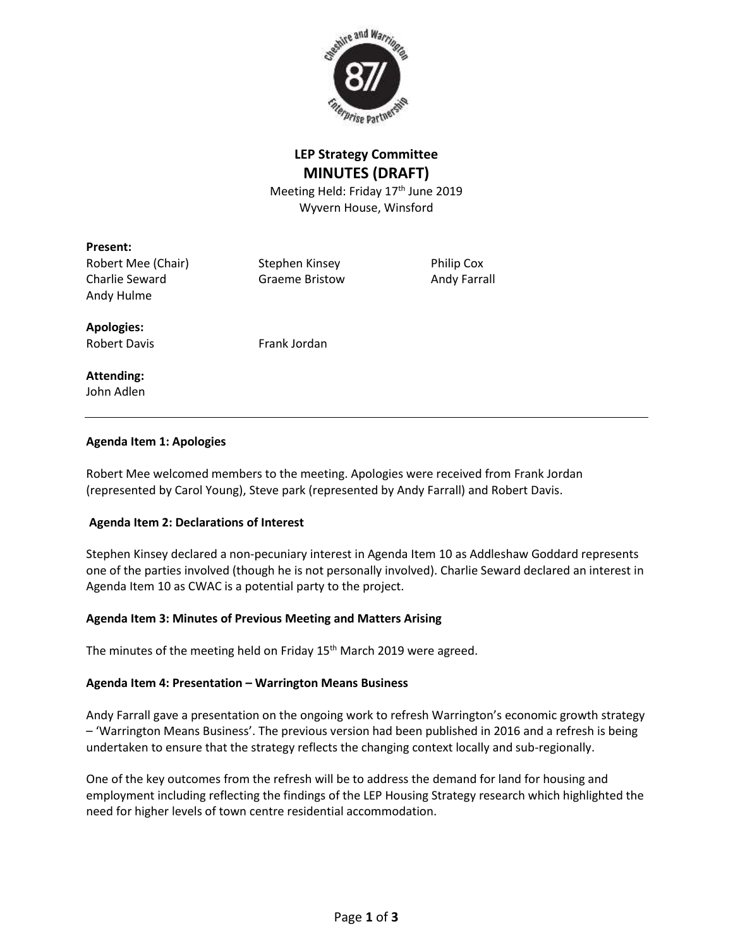

# **LEP Strategy Committee MINUTES (DRAFT)**

Meeting Held: Friday 17<sup>th</sup> June 2019 Wyvern House, Winsford

### **Present:**

Robert Mee (Chair) Stephen Kinsey Philip Cox Charlie Seward Graeme Bristow Andy Farrall Andy Hulme

**Apologies:**

Robert Davis Frank Jordan

# **Attending:**

John Adlen

### **Agenda Item 1: Apologies**

Robert Mee welcomed members to the meeting. Apologies were received from Frank Jordan (represented by Carol Young), Steve park (represented by Andy Farrall) and Robert Davis.

# **Agenda Item 2: Declarations of Interest**

Stephen Kinsey declared a non-pecuniary interest in Agenda Item 10 as Addleshaw Goddard represents one of the parties involved (though he is not personally involved). Charlie Seward declared an interest in Agenda Item 10 as CWAC is a potential party to the project.

# **Agenda Item 3: Minutes of Previous Meeting and Matters Arising**

The minutes of the meeting held on Friday 15<sup>th</sup> March 2019 were agreed.

### **Agenda Item 4: Presentation – Warrington Means Business**

Andy Farrall gave a presentation on the ongoing work to refresh Warrington's economic growth strategy – 'Warrington Means Business'. The previous version had been published in 2016 and a refresh is being undertaken to ensure that the strategy reflects the changing context locally and sub-regionally.

One of the key outcomes from the refresh will be to address the demand for land for housing and employment including reflecting the findings of the LEP Housing Strategy research which highlighted the need for higher levels of town centre residential accommodation.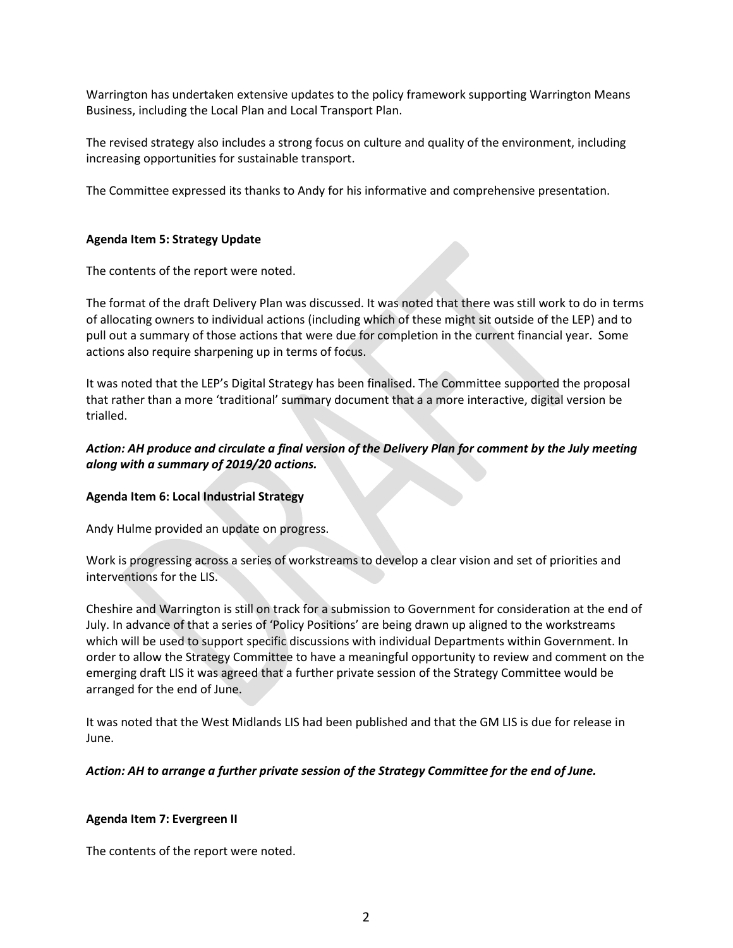Warrington has undertaken extensive updates to the policy framework supporting Warrington Means Business, including the Local Plan and Local Transport Plan.

The revised strategy also includes a strong focus on culture and quality of the environment, including increasing opportunities for sustainable transport.

The Committee expressed its thanks to Andy for his informative and comprehensive presentation.

### **Agenda Item 5: Strategy Update**

The contents of the report were noted.

The format of the draft Delivery Plan was discussed. It was noted that there was still work to do in terms of allocating owners to individual actions (including which of these might sit outside of the LEP) and to pull out a summary of those actions that were due for completion in the current financial year. Some actions also require sharpening up in terms of focus.

It was noted that the LEP's Digital Strategy has been finalised. The Committee supported the proposal that rather than a more 'traditional' summary document that a a more interactive, digital version be trialled.

# *Action: AH produce and circulate a final version of the Delivery Plan for comment by the July meeting along with a summary of 2019/20 actions.*

# **Agenda Item 6: Local Industrial Strategy**

Andy Hulme provided an update on progress.

Work is progressing across a series of workstreams to develop a clear vision and set of priorities and interventions for the LIS.

Cheshire and Warrington is still on track for a submission to Government for consideration at the end of July. In advance of that a series of 'Policy Positions' are being drawn up aligned to the workstreams which will be used to support specific discussions with individual Departments within Government. In order to allow the Strategy Committee to have a meaningful opportunity to review and comment on the emerging draft LIS it was agreed that a further private session of the Strategy Committee would be arranged for the end of June.

It was noted that the West Midlands LIS had been published and that the GM LIS is due for release in June.

### *Action: AH to arrange a further private session of the Strategy Committee for the end of June.*

### **Agenda Item 7: Evergreen II**

The contents of the report were noted.